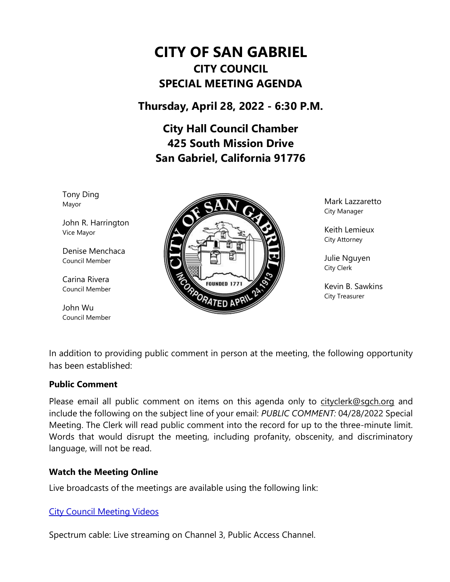# **CITY OF SAN GABRIEL CITY COUNCIL SPECIAL MEETING AGENDA**

**Thursday, April 28, 2022 - 6:30 P.M.**

**City Hall Council Chamber 425 South Mission Drive San Gabriel, California 91776**

Tony Ding Mayor

John R. Harrington Vice Mayor

Denise Menchaca Council Member

Carina Rivera Council Member

John Wu Council Member



Mark Lazzaretto City Manager

Keith Lemieux City Attorney

Julie Nguyen City Clerk

Kevin B. Sawkins City Treasurer

In addition to providing public comment in person at the meeting, the following opportunity has been established:

#### **Public Comment**

Please email all public comment on items on this agenda only to [cityclerk@sgch.org](mailto:cityclerk@sgch.org) and include the following on the subject line of your email: *PUBLIC COMMENT:* 04/28/2022 Special Meeting. The Clerk will read public comment into the record for up to the three-minute limit. Words that would disrupt the meeting, including profanity, obscenity, and discriminatory language, will not be read.

## **Watch the Meeting Online**

Live broadcasts of the meetings are available using the following link:

## [City Council Meeting Videos](https://www.youtube.com/CityofSanGabriel)

Spectrum cable: Live streaming on Channel 3, Public Access Channel.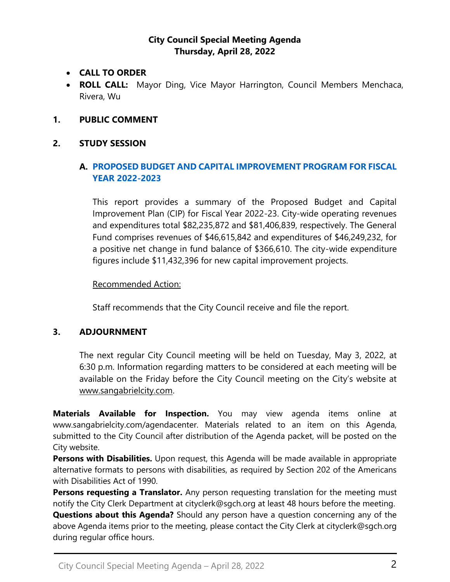### **City Council Special Meeting Agenda Thursday, April 28, 2022**

- **CALL TO ORDER**
- **ROLL CALL:** Mayor Ding, Vice Mayor Harrington, Council Members Menchaca, Rivera, Wu
- **1. PUBLIC COMMENT**

### **2. STUDY SESSION**

## **A. [PROPOSED BUDGET AND CAPITAL IMPROVEMENT PROGRAM FOR FISCAL](https://www.sangabrielcity.com/DocumentCenter/View/16471/Item-2A---Proposed-Budget-and-Capital-Improvement-Program-for-Fiscal-Year-2022-2023)  [YEAR 2022-2023](https://www.sangabrielcity.com/DocumentCenter/View/16471/Item-2A---Proposed-Budget-and-Capital-Improvement-Program-for-Fiscal-Year-2022-2023)**

This report provides a summary of the Proposed Budget and Capital Improvement Plan (CIP) for Fiscal Year 2022-23. City-wide operating revenues and expenditures total \$82,235,872 and \$81,406,839, respectively. The General Fund comprises revenues of \$46,615,842 and expenditures of \$46,249,232, for a positive net change in fund balance of \$366,610. The city-wide expenditure figures include \$11,432,396 for new capital improvement projects.

#### Recommended Action:

Staff recommends that the City Council receive and file the report.

#### **3. ADJOURNMENT**

The next regular City Council meeting will be held on Tuesday, May 3, 2022, at 6:30 p.m. Information regarding matters to be considered at each meeting will be available on the Friday before the City Council meeting on the City's website at [www.sangabrielcity.com.](http://www.sangabrielcity.com/)

**Materials Available for Inspection.** You may view agenda items online at www.sangabrielcity.com/agendacenter. Materials related to an item on this Agenda, submitted to the City Council after distribution of the Agenda packet, will be posted on the City website.

**Persons with Disabilities.** Upon request, this Agenda will be made available in appropriate alternative formats to persons with disabilities, as required by Section 202 of the Americans with Disabilities Act of 1990.

**Persons requesting a Translator.** Any person requesting translation for the meeting must notify the City Clerk Department at cityclerk@sgch.org at least 48 hours before the meeting.

**Questions about this Agenda?** Should any person have a question concerning any of the above Agenda items prior to the meeting, please contact the City Clerk at cityclerk@sgch.org during regular office hours.